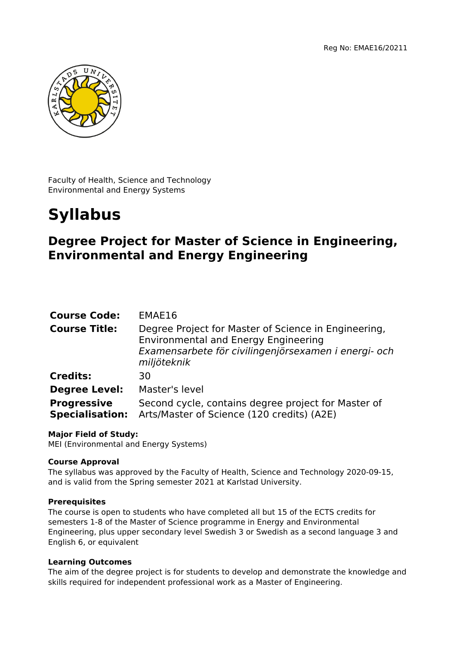Reg No: EMAE16/20211



Faculty of Health, Science and Technology Environmental and Energy Systems

# **Syllabus**

# **Degree Project for Master of Science in Engineering, Environmental and Energy Engineering**

| <b>Course Code:</b>                          | EMAE16                                                                                                                                                                     |
|----------------------------------------------|----------------------------------------------------------------------------------------------------------------------------------------------------------------------------|
| <b>Course Title:</b>                         | Degree Project for Master of Science in Engineering,<br><b>Environmental and Energy Engineering</b><br>Examensarbete för civilingenjörsexamen i energi- och<br>miljöteknik |
| <b>Credits:</b>                              | 30                                                                                                                                                                         |
| <b>Degree Level:</b>                         | Master's level                                                                                                                                                             |
| <b>Progressive</b><br><b>Specialisation:</b> | Second cycle, contains degree project for Master of<br>Arts/Master of Science (120 credits) (A2E)                                                                          |

# **Major Field of Study:**

MEI (Environmental and Energy Systems)

# **Course Approval**

The syllabus was approved by the Faculty of Health, Science and Technology 2020-09-15, and is valid from the Spring semester 2021 at Karlstad University.

#### **Prerequisites**

The course is open to students who have completed all but 15 of the ECTS credits for semesters 1-8 of the Master of Science programme in Energy and Environmental Engineering, plus upper secondary level Swedish 3 or Swedish as a second language 3 and English 6, or equivalent

#### **Learning Outcomes**

The aim of the degree project is for students to develop and demonstrate the knowledge and skills required for independent professional work as a Master of Engineering.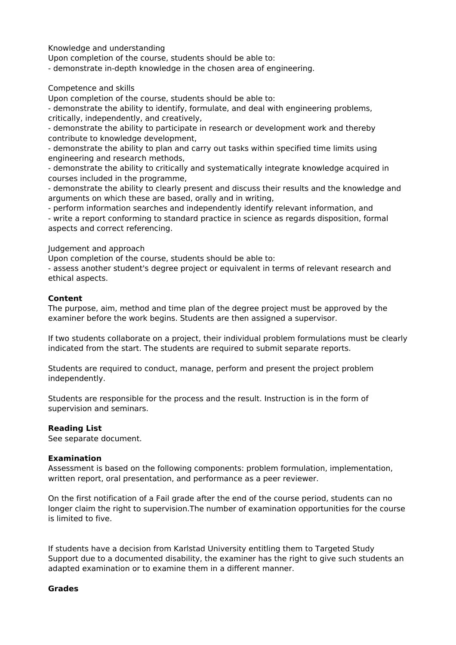Knowledge and understanding

Upon completion of the course, students should be able to:

- demonstrate in-depth knowledge in the chosen area of engineering.

Competence and skills

Upon completion of the course, students should be able to:

- demonstrate the ability to identify, formulate, and deal with engineering problems, critically, independently, and creatively,

- demonstrate the ability to participate in research or development work and thereby contribute to knowledge development,

- demonstrate the ability to plan and carry out tasks within specified time limits using engineering and research methods,

- demonstrate the ability to critically and systematically integrate knowledge acquired in courses included in the programme,

- demonstrate the ability to clearly present and discuss their results and the knowledge and arguments on which these are based, orally and in writing,

- perform information searches and independently identify relevant information, and

- write a report conforming to standard practice in science as regards disposition, formal aspects and correct referencing.

Judgement and approach

Upon completion of the course, students should be able to:

- assess another student's degree project or equivalent in terms of relevant research and ethical aspects.

# **Content**

The purpose, aim, method and time plan of the degree project must be approved by the examiner before the work begins. Students are then assigned a supervisor.

If two students collaborate on a project, their individual problem formulations must be clearly indicated from the start. The students are required to submit separate reports.

Students are required to conduct, manage, perform and present the project problem independently.

Students are responsible for the process and the result. Instruction is in the form of supervision and seminars.

#### **Reading List**

See separate document.

#### **Examination**

Assessment is based on the following components: problem formulation, implementation, written report, oral presentation, and performance as a peer reviewer.

On the first notification of a Fail grade after the end of the course period, students can no longer claim the right to supervision.The number of examination opportunities for the course is limited to five.

If students have a decision from Karlstad University entitling them to Targeted Study Support due to a documented disability, the examiner has the right to give such students an adapted examination or to examine them in a different manner.

#### **Grades**